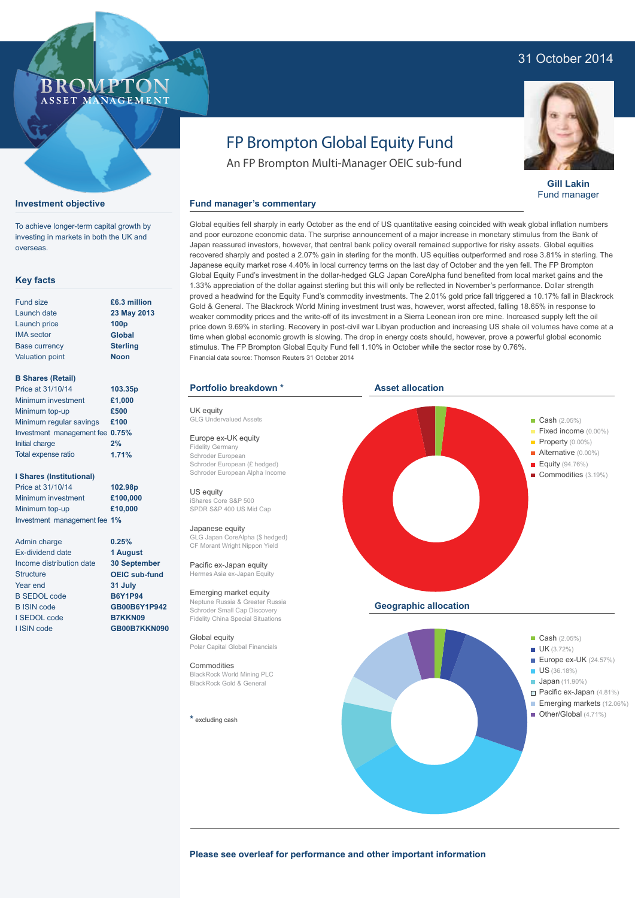### 31 October 2014

### ROMP ASSET MANAGEMENT

**Investment objective**

overseas.

**Key facts**

Fund size Launch date Launch price IMA sector Base currency Valuation point

**B Shares (Retail)** Price at 31/10/14 Minimum investment Minimum top-up

Initial charge Total expense ratio

**I Shares (Institutional)** Price at 31/10/14 Minimum investment Minimum top-up

To achieve longer-term capital growth by investing in markets in both the UK and

# FP Brompton Global Equity Fund

An FP Brompton Multi-Manager OEIC sub-fund

### **Fund manager's commentary**

Global equities fell sharply in early October as the end of US quantitative easing coincided with weak global inflation numbers and poor eurozone economic data. The surprise announcement of a major increase in monetary stimulus from the Bank of Japan reassured investors, however, that central bank policy overall remained supportive for risky assets. Global equities recovered sharply and posted a 2.07% gain in sterling for the month. US equities outperformed and rose 3.81% in sterling. The Japanese equity market rose 4.40% in local currency terms on the last day of October and the yen fell. The FP Brompton Global Equity Fund's investment in the dollar-hedged GLG Japan CoreAlpha fund benefited from local market gains and the 1.33% appreciation of the dollar against sterling but this will only be reflected in November's performance. Dollar strength proved a headwind for the Equity Fund's commodity investments. The 2.01% gold price fall triggered a 10.17% fall in Blackrock Gold & General. The Blackrock World Mining investment trust was, however, worst affected, falling 18.65% in response to weaker commodity prices and the write-off of its investment in a Sierra Leonean iron ore mine. Increased supply left the oil price down 9.69% in sterling. Recovery in post-civil war Libyan production and increasing US shale oil volumes have come at a time when global economic growth is slowing. The drop in energy costs should, however, prove a powerful global economic stimulus. The FP Brompton Global Equity Fund fell 1.10% in October while the sector rose by 0.76%. Financial data source: Thomson Reuters 31 October 2014

#### **Portfolio breakdown \***

UK equity GLG Undervalued Assets

Europe ex-UK equity Fidelity Germany Schroder European Schroder European (£ hedged) Schroder European Alpha Income

US equity iShares Core S&P 500 SPDR S&P 400 US Mid Cap

#### Japanese equity

GLG Japan CoreAlpha (\$ hedged) CF Morant Wright Nippon Yield

Pacific ex-Japan equity Hermes Asia ex-Japan Eq

Emerging market equity Neptune Russia & Greater Russia Schroder Small Cap Discovery Fidelity China Special Situations

Global equity Polar Capital Global Financials

Commodities BlackRock World Mining PLC BlackRock Gold & General

**\*** excluding cash





**Gill Lakin** Fund manager

**Please see overleaf for performance and other important information**

### Investment management fee **1%** Admin charge Ex-dividend date Income distribution date **Structure**

Minimum regular savings **£100** Investment management fee **0.75%**

Year end B SEDOL code B ISIN code I SEDOL code I ISIN code

**0.25% 1 August 30 September OEIC sub-fund 31 July B6Y1P94 GB00B6Y1P942**

> **B7KKN09 GB00B7KKN090**

**£6.3 million 23 May 2013 100p Global Sterling Noon**

**103.35p £1,000 £500**

**2% 1.71%**

**102.98p £100,000 £10,000**